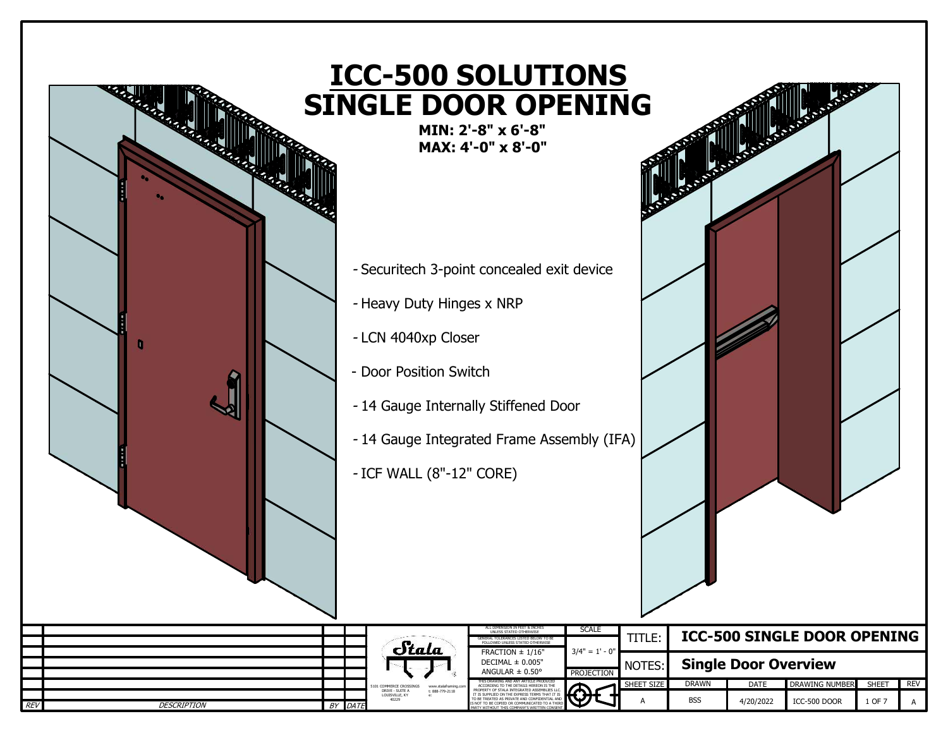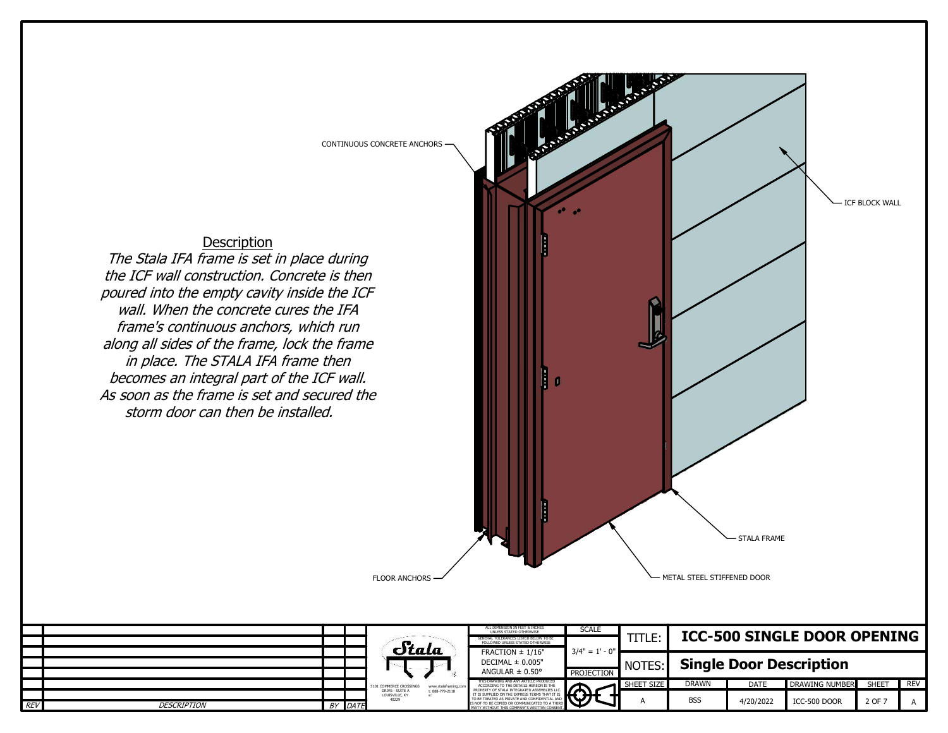

## Description

The Stala IFA frame is set in place during the ICF wall construction. Concrete is then poured into the empty cavity inside the ICF wall. When the concrete cures the IFA frame's continuous anchors, which run along all sides of the frame, lock the frame in place. The STALA IFA frame then becomes an integral part of the ICF wall. As soon as the frame is set and secured the storm door can then be installed.



|            |                    |  |         |                                                               | ALL DIMENSION IN FEET & INCHES<br>UNLESS STATED OTHERWISE                                       | <b>SCALE</b>    |                |                                    |             |                       |        |     |  |
|------------|--------------------|--|---------|---------------------------------------------------------------|-------------------------------------------------------------------------------------------------|-----------------|----------------|------------------------------------|-------------|-----------------------|--------|-----|--|
|            |                    |  |         | Stala                                                         | L TOLERANCES LISTED BELOW TO B<br>GENERAL<br>FOLLOWED UNLESS STATED OTHERWISE                   | $3/4" = 1' - 0$ | TITLE:         | <b>ICC-500 SINGLE DOOR OPENING</b> |             |                       |        |     |  |
|            |                    |  |         |                                                               | FRACTION $\pm$ 1/16"<br>DECIMAL $\pm$ 0.005"<br>ANGULAR $\pm$ 0.50°                             |                 |                |                                    |             |                       |        |     |  |
|            |                    |  |         |                                                               |                                                                                                 |                 | <b>NOTES:'</b> | <b>Single Door Description</b>     |             |                       |        |     |  |
|            |                    |  |         |                                                               |                                                                                                 | PROJECTION      |                |                                    |             |                       |        |     |  |
|            |                    |  |         | www.stalaframing.co.<br>5101 COMMERCE CROSSINGS               | THIS DRAWING AND ANY ARTICLE PRODUCED                                                           |                 | SHEET SIZE     | <b>DRAWN</b>                       | <b>DATE</b> | <b>DRAWING NUMBER</b> | SHEET  | REV |  |
|            |                    |  |         | DRIVE - SUITE A<br>t: 888-779-2118<br>LOUISVILLE, KY<br>40229 |                                                                                                 |                 |                | <b>BSS</b>                         | 4/20/2022   | ICC-500 DOOR          | 2 OF 7 |     |  |
| <b>REV</b> | <b>DESCRIPTION</b> |  | BY DATE |                                                               | IS NOT TO BE COPIED OR COMMUNICATED TO A THIRD.<br>PARTY WITHOUT THIS COMPANY'S WRITTEN CONSENT |                 |                |                                    |             |                       |        |     |  |

FLOOR ANCHORS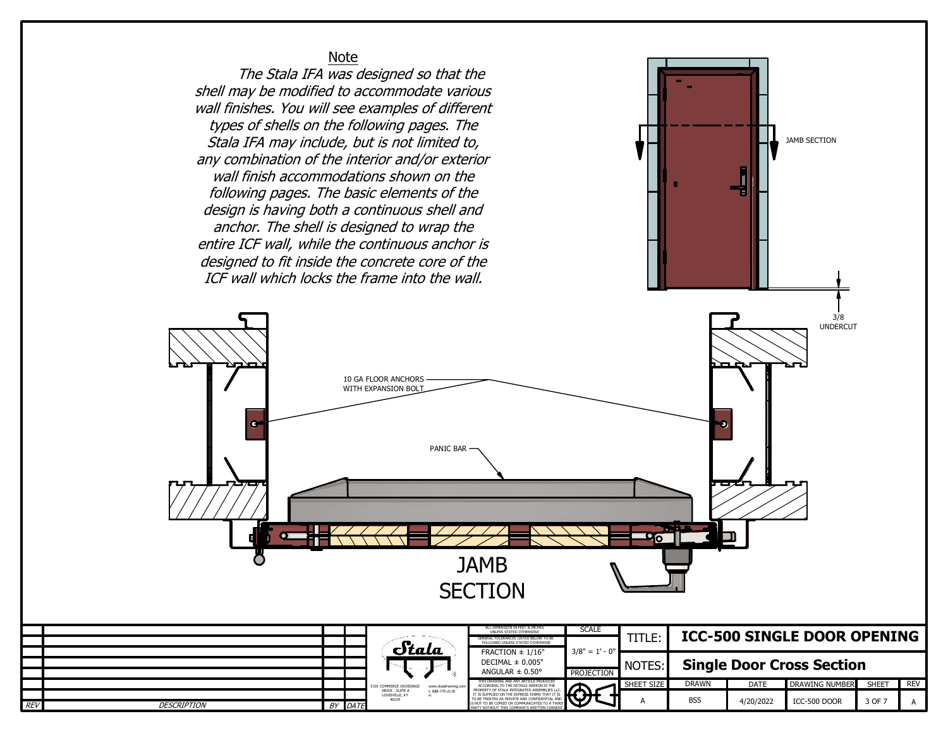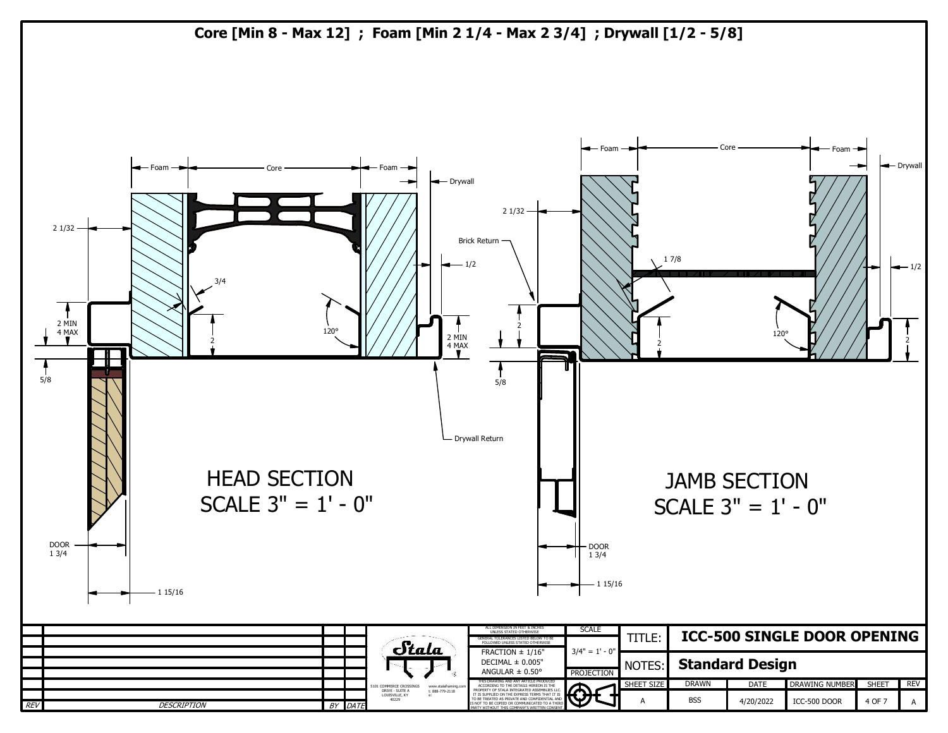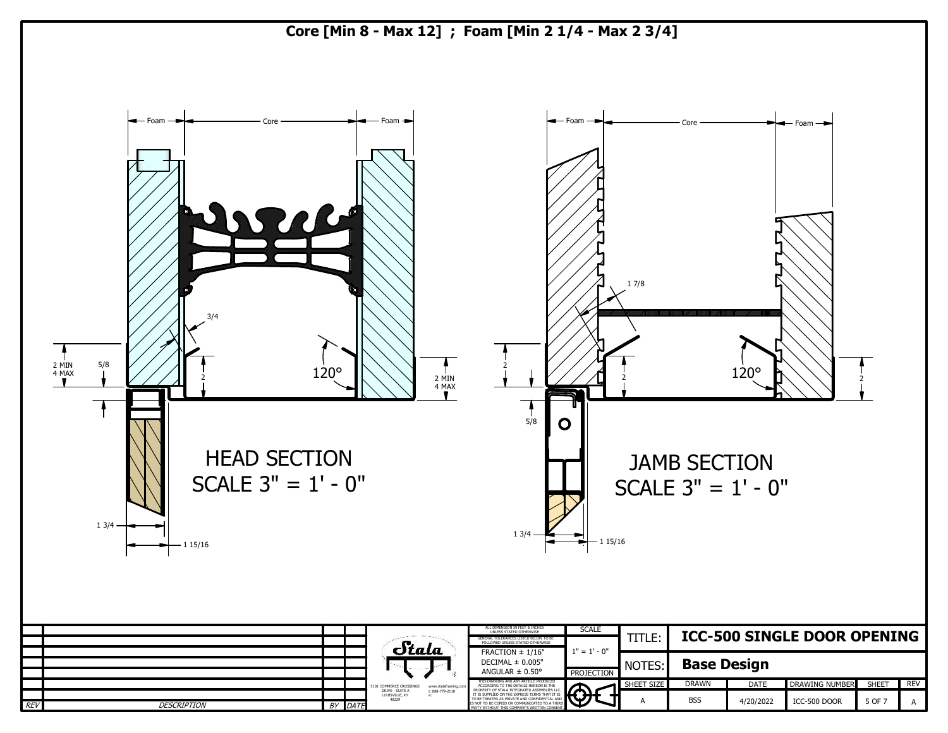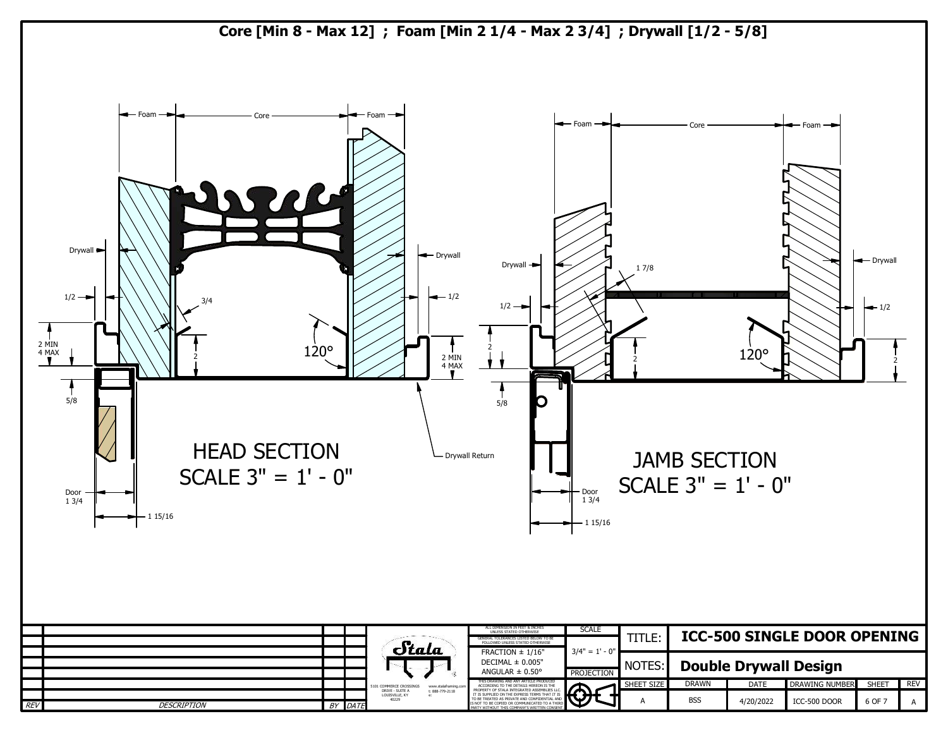